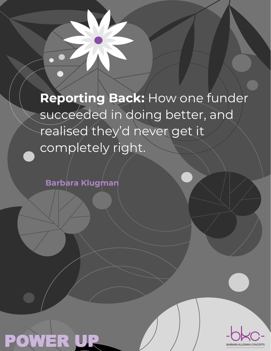**Reporting Back:** How one funder succeeded in doing better, and realised they'd never get it completely right.

**Barbara Klugman**



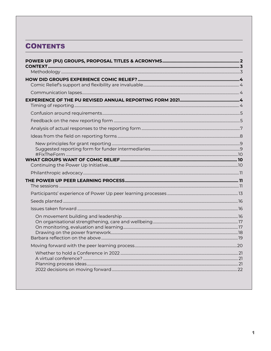## **CONTENTS**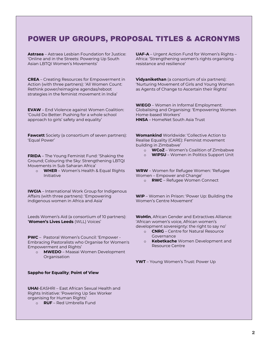## <span id="page-2-0"></span>POWER UP GROUPS, PROPOSAL TITLES & ACRONYMS

**Astraea** – Astraea Lesbian Foundation for Justice: 'Online and in the Streets: Powering Up South Asian LBTQI Women's Movements'

**CREA** – Creating Resources for Empowerment in Action (with three partners): 'All Women Count: Rethink power/reimagine agendas/reboot strategies in the feminist movement in India'

**EVAW** – End Violence against Women Coalition: 'Could Do Better: Pushing for a whole school approach to girls' safety and equality'

**Fawcett** Society (a consortium of seven partners): 'Equal Power'

**FRIDA** – The Young Feminist Fund: 'Shaking the Ground; Colouring the Sky: Strengthening LBTQI Movements in Sub Saharan Africa'

o **WHER** – Women's Health & Equal Rights Initiative

**IWGIA** – International Work Group for Indigenous Affairs (with three partners): 'Empowering indigenous women in Africa and Asia'

Leeds Women's Aid (a consortium of 10 partners): '**Women's Lives Leeds** (WLL) Voices'

**PWC** – Pastoral Women's Council: 'Empower - Embracing Pastoralists who Organise for Women's Empowerment and Rights'

o **MWEDO** – Maasai Women Development Organisation

#### **Sappho for Equality**; **Point of View**

**UHAI**-EASHRI – East African Sexual Health and Rights Initiative: 'Powering Up Sex Worker organising for Human Rights'

o **RUF** – Red Umbrella Fund

**UAF-A** – Urgent Action Fund for Women's Rights – Africa: 'Strengthening women's rights organising resistance and resilience'

**Vidyanikethan** (a consortium of six partners): 'Nurturing Movement of Girls and Young Women as Agents of Change to Ascertain their Rights'

**WIEGO** – Women in Informal Employment: Globalising and Organising: 'Empowering Women Home-based Workers' **HNSA** – HomeNet South Asia Trust

**Womankind** Worldwide: 'Collective Action to Realise Equality (CARE): Feminist movement building in Zimbabwe'

- o **WCoZ** Women's Coalition of Zimbabwe
- **WIPSU** Women in Politics Support Unit

**WRW** – Women for Refugee Women: 'Refugee Women – Empower and Change' o **RWC** – Refugee Women Connect

**WIP** – Women in Prison: 'Power Up: Building the Women's Centre Movement'

**WoMin**, African Gender and Extractives Alliance: 'African women's voice, African women's development sovereignty: the right to say no'

- o **CNRG** Centre for Natural Resource Governance
- o **Kebetkache** Women Development and Resource Centre

**YWT** – Young Women's Trust: Power Up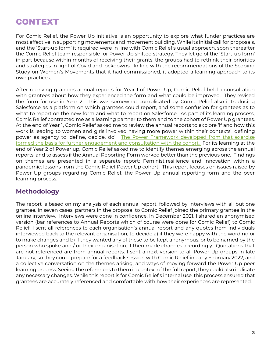## <span id="page-3-0"></span>CONTEXT

For Comic Relief, the Power Up initiative is an opportunity to explore what funder practices are most effective in supporting movements and movement building. While its initial call for proposals, and the 'Start-up form' it required were in line with Comic Relief's usual approach, soon thereafter the Comic Relief team responsible for Power Up shifted strategy. They let go of the 'Start-up form' in part because within months of receiving their grants, the groups had to rethink their priorities and strategies in light of Covid and lockdowns. In line with the recommendations of the Scoping Study on Women's Movements that it had commissioned, it adopted a learning approach to its own practices.

After receiving grantees annual reports for Year 1 of Power Up, Comic Relief held a consultation with grantees about how they experienced the form and what could be improved. They revised the form for use in Year 2. This was somewhat complicated by Comic Relief also introducing Salesforce as a platform on which grantees could report, and some confusion for grantees as to what to report on the new form and what to report on Salesforce. As part of its learning process, Comic Relief contracted me as a learning partner to them and to the cohort of Power Up grantees. At the end of Year 1, Comic Relief asked me to review the annual reports to explore 'if and how this work is leading to women and girls involved having more power within their contexts', defining power as agency to 'define, decide, do'. [The Power Framework developed from that exercise](https://assets.ctfassets.net/zsfivwzfgl3t/6px6rT6WH7TWAl8jRi6cNu/7adf636d0b4e6a60922912218bd2b0c4/Power_Up_Outcome_Harvesting_Report_2021.pdf)  [formed the basis for further engagement and consultation with the cohort.](https://assets.ctfassets.net/zsfivwzfgl3t/6px6rT6WH7TWAl8jRi6cNu/7adf636d0b4e6a60922912218bd2b0c4/Power_Up_Outcome_Harvesting_Report_2021.pdf) For its learning at the end of Year 2 of Power up, Comic Relief asked me to identify themes emerging across the annual reports, and to assess if the Annual Reporting Form worked better than the previous one. Findings on themes are presented in a separate report: Feminist resilience and innovation within a pandemic: lessons from the Comic Relief Power Up cohort. This report focuses on issues raised by Power Up groups regarding Comic Relief, the Power Up annual reporting form and the peer learning process.

## <span id="page-3-1"></span>**Methodology**

The report is based on my analysis of each annual report, followed by interviews with all but one grantee. In seven cases, partners in the proposal to Comic Relief joined the primary grantee in the online interview. Interviews were done in confidence. In December 2021, I shared an anonymised version (bar references to Annual Reports which of course were done for Comic Relief) to Comic Relief. I sent all references to each organisation's annual report and any quotes from individuals interviewed back to the relevant organisation, to decide a) if they were happy with the wording or to make changes and b) if they wanted any of these to be kept anonymous, or to be named by the person who spoke and / or their organisation. I then made changes accordingly. Quotations that are not referenced are from annual reports. I sent a next version to all Power Up groups in late January, so they could prepare for a feedback session with Comic Relief in early February 2022, and a collective conversation on the themes arising, and ways of moving forward the Power Up peer learning process. Seeing the references to them in context of the full report, they could also indicate any necessary changes. While this report is for Comic Relief's internal use, this process ensured that grantees are accurately referenced and comfortable with how their experiences are represented.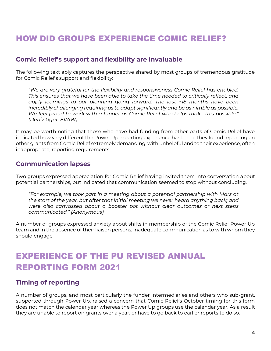## <span id="page-4-0"></span>HOW DID GROUPS EXPERIENCE COMIC RELIEF?

### <span id="page-4-1"></span>**Comic Relief's support and flexibility are invaluable**

The following text ably captures the perspective shared by most groups of tremendous gratitude for Comic Relief's support and flexibility:

*"We are very grateful for the flexibility and responsiveness Comic Relief has enabled. This ensures that we have been able to take the time needed to critically reflect, and apply learnings to our planning going forward. The last +18 months have been incredibly challenging requiring us to adapt significantly and be as nimble as possible. We feel proud to work with a funder as Comic Relief who helps make this possible." (Deniz Ugur, EVAW)*

It may be worth noting that those who have had funding from other parts of Comic Relief have indicated how very different the Power Up reporting experience has been. They found reporting on other grants from Comic Relief extremely demanding, with unhelpful and to their experience, often inappropriate, reporting requirements.

### <span id="page-4-2"></span>**Communication lapses**

Two groups expressed appreciation for Comic Relief having invited them into conversation about potential partnerships, but indicated that communication seemed to stop without concluding.

*"For example, we took part in a meeting about a potential partnership with Mars at the start of the year, but after that initial meeting we never heard anything back; and were also canvassed about a booster pot without clear outcomes or next steps communicated." (Anonymous)*

A number of groups expressed anxiety about shifts in membership of the Comic Relief Power Up team and in the absence of their liaison persons, inadequate communication as to with whom they should engage.

# <span id="page-4-3"></span>EXPERIENCE OF THE PU REVISED ANNUAL REPORTING FORM 2021

## <span id="page-4-4"></span>**Timing of reporting**

A number of groups, and most particularly the funder intermediaries and others who sub-grant, supported through Power Up, raised a concern that Comic Relief's October timing for this form does not match the calendar year whereas the Power Up groups use the calendar year. As a result they are unable to report on grants over a year, or have to go back to earlier reports to do so.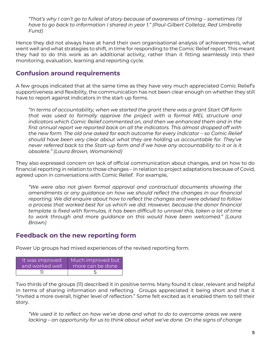*"That's why I can't go to fullest of story because of awareness of timing – sometimes I'd have to go back to information I shared in year 1." (Paul-Gilbert Colletaz, Red Umbrella Fund)* 

Hence they did not always have at hand their own organisational analysis of achievements, what went well and what strategies to shift, in time for responding to the Comic Relief report. This meant they had to do this work as an additional activity, rather than it fitting seamlessly into their monitoring, evaluation, learning and reporting cycle.

## <span id="page-5-0"></span>**Confusion around requirements**

A few groups indicated that at the same time as they have very much appreciated Comic Relief's supportiveness and flexibility, the communication has not been clear enough on whether they still have to report against indicators in the start-up forms.

*"In terms of accountability, when we started the grant there was a grant Start Off form that was used to formally approve the project with a formal MEL structure and indicators which Comic Relief commented on, and then we enhanced them and in the first annual report we reported back on all the indicators. This almost dropped off with the new form. The old one asked for each outcome for every indicator – so Comic Relief should have been very clear about what they are holding us accountable for. They've never referred back to the Start-up form and if we have any accountability to it or is it obsolete." (Laura Brown, Womankind)*

They also expressed concern on lack of official communication about changes, and on how to do financial reporting in relation to those changes – in relation to project adaptations because of Covid, agreed upon in conversations with Comic Relief. For example,

*"We were also not given formal approval and contractual documents showing the amendments or any guidance on how we should reflect the changes in our financial reporting. We did enquire about how to reflect the changes and were advised to follow a process that worked best for us which we did. However, because the donor financial template is fixed with formulas, it has been difficult to unravel this, taken a lot of time to work through and more guidance on this would have been welcomed." (Laura Brown)*

## <span id="page-5-1"></span>**Feedback on the new reporting form**

Power Up groups had mixed experiences of the revised reporting form.

| It was improved | Much improved but |
|-----------------|-------------------|
| and worked well | more can be done  |
|                 |                   |

Two thirds of the groups (11) described it in positive terms. Many found it clear, relevant and helpful in terms of sharing information and reflecting. Groups appreciated it being short and that it "invited a more overall, higher level of reflection." Some felt excited as it enabled them to tell their story.

*"We used it to reflect on how we've done and what to do to overcome areas we were lacking – an opportunity for us to think about what we've done. On the signs of change*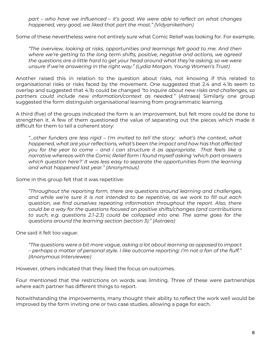*part – who have we influenced – it's good. We were able to reflect on what changes happened, very good, we liked that part the most." (Vidyanikethan)*

Some of these nevertheless were not entirely sure what Comic Relief was looking for. For example,

*"The overview, looking at risks, opportunities and learnings felt good to me. And then where we're getting to the long term shifts, positive, negative and actions, we agreed the questions are a little hard to get your head around what they're asking; so we were unsure if we're answering in the right way." (Lydia Morgan, Young Women's Trust)* 

Another raised this in relation to the question about risks, not knowing if this related to organisational risks or risks faced by the movement. One suggested that 2.4 and 4.1b seem to overlap and suggested that 4.1b could be changed *"to inquire about new risks and challenges, so partners could include new information/context as needed."* (Astraea) Similarly one group suggested the form distinguish organisational learning from programmatic learning.

A third (five) of the groups indicated the form is an improvement, but felt more could be done to strengthen it. A few of them questioned the value of separating out the pieces which made it difficult for them to tell a coherent story:

*"…other funders are less rigid – I'm invited to tell the story: what's the context, what happened, what are your reflections, what's been the impact and how has that affected you for the year to come – and I can structure it as appropriate. That feels like a narrative whereas with the Comic Relief form I found myself asking 'which part answers which question here?' It was less easy to separate the opportunities from the learning and what happened last year." (Anonymous)*

Some in this group felt that it was repetitive:

*"Throughout the reporting form, there are questions around learning and challenges, and while we're sure it is not intended to be repetitive, as we work to fill out each question, we find ourselves repeating information throughout the report. Also, there could be a way for the questions focused on positive shifts/changes (and contributions to such, e.g. questions 2.1-2.3) could be collapsed into one. The same goes for the questions around the learning section (section 3)." (Astraea)*

One said it felt too vague:

*"The questions were a bit more vague, asking a lot about learning as opposed to impact – perhaps a matter of personal style. I like outcome reporting; I'm not a fan of the fluff." (Anonymous Interviewee)*

However, others indicated that they liked the focus on outcomes.

Four mentioned that the restrictions on words was limiting. Three of these were partnerships where each partner has different things to report.

Notwithstanding the improvements, many thought their ability to reflect the work well would be improved by the form inviting one or two case studies, allowing a page for each.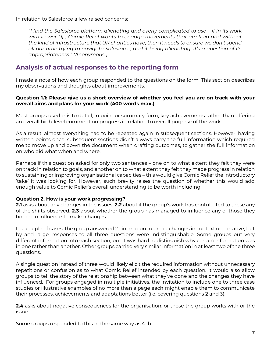In relation to Salesforce a few raised concerns:

*"I find the Salesforce platform alienating and overly complicated to use – if in its work with Power Up, Comic Relief wants to engage movements that are fluid and without the kind of infrastructure that UK charities have, then it needs to ensure we don't spend all our time trying to navigate Salesforce, and it being alienating. It's a question of its appropriateness." (Anonymous )*

## <span id="page-7-0"></span>**Analysis of actual responses to the reporting form**

I made a note of how each group responded to the questions on the form. This section describes my observations and thoughts about improvements.

#### **Question 1.1: Please give us a short overview of whether you feel you are on track with your overall aims and plans for your work (400 words max.)**

Most groups used this to detail, in point or summary form, key achievements rather than offering an overall high-level comment on progress in relation to overall purpose of the work.

As a result, almost everything had to be repeated again in subsequent sections. However, having written points once, subsequent sections didn't always carry the full information which required me to move up and down the document when drafting outcomes, to gather the full information on who did what when and where.

Perhaps if this question asked for only two sentences – one on to what extent they felt they were on track in relation to goals, and another on to what extent they felt they made progress in relation to sustaining or improving organisational capacities – this would give Comic Relief the introductory 'take' it was looking for. However, such brevity raises the question of whether this would add enough value to Comic Relief's overall understanding to be worth including.

### **Question 2. How is your work progressing?**

**2.1** asks about any changes in the issues; **2.2** about if the group's work has contributed to these any of the shifts observed; **2.3** about whether the group has managed to influence any of those they hoped to influence to make changes.

In a couple of cases, the group answered 2.1 in relation to broad changes in context or narrative, but by and large, responses to all three questions were indistinguishable. Some groups put very different information into each section, but it was hard to distinguish why certain information was in one rather than another. Other groups carried very similar information in at least two of the three questions.

A single question instead of three would likely elicit the required information without unnecessary repetitions or confusion as to what Comic Relief intended by each question. It would also allow groups to tell the story of the relationship between what they've done and the changes they have influenced. For groups engaged in multiple initiatives, the invitation to include one to three case studies or illustrative examples of no more than a page each might enable them to communicate their processes, achievements and adaptations better (i.e. covering questions 2 and 3).

**2.4** asks about negative consequences for the organisation, or those the group works with or the issue.

Some groups responded to this in the same way as 4.1b.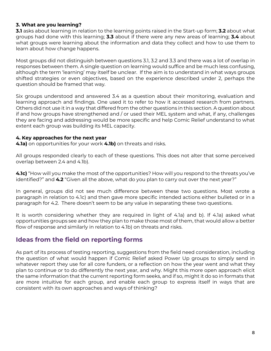### **3. What are you learning?**

**3.1** asks about learning in relation to the learning points raised in the Start-up form; **3.2** about what groups had done with this learning; **3.3** about if there were any new areas of learning; **3.4** about what groups were learning about the information and data they collect and how to use them to learn about how change happens.

Most groups did not distinguish between questions 3.1, 3.2 and 3.3 and there was a lot of overlap in responses between them. A single question on learning would suffice and be much less confusing, although the term 'learning' may itself be unclear. If the aim is to understand in what ways groups shifted strategies or even objectives, based on the experience described under 2, perhaps the question should be framed that way.

Six groups understood and answered 3.4 as a question about their monitoring, evaluation and learning approach and findings. One used it to refer to how it accessed research from partners. Others did not use it in a way that differed from the other questions in this section. A question about if and how groups have strengthened and / or used their MEL system and what, if any, challenges they are facing and addressing would be more specific and help Comic Relief understand to what extent each group was building its MEL capacity.

### **4. Key approaches for the next year**

**4.1a)** on opportunities for your work **4.1b)** on threats and risks.

All groups responded clearly to each of these questions. This does not alter that some perceived overlap between 2.4 and 4.1b).

**4.1c)** "How will you make the most of the opportunities? How will you respond to the threats you've identified?" and **4.2** "Given all the above, what do you plan to carry out over the next year?"

In general, groups did not see much difference between these two questions. Most wrote a paragraph in relation to 4.1c) and then gave more specific intended actions either bulleted or in a paragraph for 4.2. There doesn't seem to be any value in separating these two questions.

It is worth considering whether they are required in light of 4.1a) and b). If 4.1a) asked what opportunities groups see and how they plan to make those most of them, that would allow a better flow of response and similarly in relation to 4.1b) on threats and risks.

## <span id="page-8-0"></span>**Ideas from the field on reporting forms**

As part of its process of testing reporting, suggestions from the field need consideration, including the question of what would happen if Comic Relief asked Power Up groups to simply send in whatever report they use for all core funders, or a reflection on how the year went and what they plan to continue or to do differently the next year, and why. Might this more open approach elicit the same information that the current reporting form seeks, and if so, might it do so in formats that are more intuitive for each group, and enable each group to express itself in ways that are consistent with its own approaches and ways of thinking?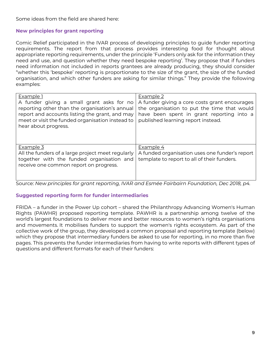Some ideas from the field are shared here:

### <span id="page-9-0"></span>**New principles for grant reporting**

Comic Relief participated in the IVAR process of developing principles to guide funder reporting requirements. The report from that process provides interesting food for thought about appropriate reporting requirements, under the principle 'Funders only ask for the information they need and use, and question whether they need bespoke reporting'. They propose that if funders need information not included in reports grantees are already producing, they should consider "whether this 'bespoke' reporting is proportionate to the size of the grant, the size of the funded organisation, and which other funders are asking for similar things." They provide the following examples:

| Example 1<br>A funder giving a small grant asks for no<br>reporting other than the organisation's annual<br>report and accounts listing the grant, and may<br>meet or visit the funded organisation instead to<br>hear about progress. | Example 2<br>A funder giving a core costs grant encourages<br>the organisation to put the time that would<br>have been spent in grant reporting into a<br>published learning report instead. |
|----------------------------------------------------------------------------------------------------------------------------------------------------------------------------------------------------------------------------------------|----------------------------------------------------------------------------------------------------------------------------------------------------------------------------------------------|
| Example 3<br>All the funders of a large project meet regularly<br>together with the funded organisation and<br>receive one common report on progress.                                                                                  | Example 4<br>A funded organisation uses one funder's report<br>template to report to all of their funders.                                                                                   |

Source: *New principles for grant reporting, IVAR and Esmée Fairbairn Foundation, Dec 2018, p4.*

### <span id="page-9-1"></span>**Suggested reporting form for funder intermediaries**

FRIDA – a funder in the Power Up cohort – shared the Philanthropy Advancing Women's Human Rights (PAWHR) proposed reporting template. PAWHR is a partnership among twelve of the world's largest foundations to deliver more and better resources to women's rights organisations and movements. It mobilises funders to support the women's rights ecosystem. As part of the collective work of the group, they developed a common proposal and reporting template (below) which they propose that intermediary funders be asked to use for reporting, in no more than five pages. This prevents the funder intermediaries from having to write reports with different types of questions and different formats for each of their funders: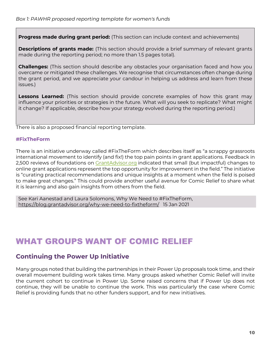**Progress made during grant period:** (This section can include context and achievements)

**Descriptions of grants made:** (This section should provide a brief summary of relevant grants made during the reporting period; no more than 1.5 pages total).

**Challenges:** (This section should describe any obstacles your organisation faced and how you overcame or mitigated these challenges. We recognise that circumstances often change during the grant period, and we appreciate your candour in helping us address and learn from these issues.)

**Lessons Learned:** (This section should provide concrete examples of how this grant may influence your priorities or strategies in the future. What will you seek to replicate? What might it change? If applicable, describe how your strategy evolved during the reporting period.)

There is also a proposed financial reporting template.

### <span id="page-10-0"></span>**#FixTheForm**

There is an initiative underway called #FixTheForm which describes itself as "a scrappy grassroots international movement to identify (and fix!) the top pain points in grant applications. Feedback in 2,500 reviews of foundations on [GrantAdvisor.org](http://www.grantadvisor.org/) indicated that small (but impactful) changes to online grant applications represent the top opportunity for improvement in the field." The initiative is "curating practical recommendations and unique insights at a moment when the field is poised to make great changes." This could provide another useful avenue for Comic Relief to share what it is learning and also gain insights from others from the field.

<span id="page-10-1"></span>See Kari Aanestad and Laura Solomons, Why We Need to #FixTheForm, <https://blog.grantadvisor.org/why-we-need-to-fixtheform/>15 Jan 2021

## WHAT GROUPS WANT OF COMIC RELIEF

## <span id="page-10-2"></span>**Continuing the Power Up Initiative**

<span id="page-10-3"></span>Many groups noted that building the partnerships in their Power Up proposals took time, and their overall movement building work takes time. Many groups asked whether Comic Relief will invite the current cohort to continue in Power Up. Some raised concerns that if Power Up does not continue, they will be unable to continue the work. This was particularly the case where Comic Relief is providing funds that no other funders support, and for new initiatives.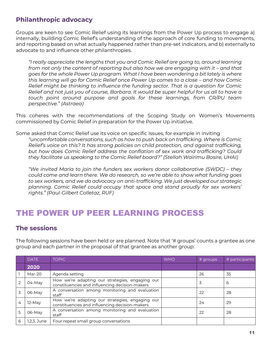## **Philanthropic advocacy**

Groups are keen to see Comic Relief using its learnings from the Power Up process to engage a) internally, building Comic Relief's understanding of the approach of core funding to movements, and reporting based on what actually happened rather than pre-set indicators, and b) externally to advocate to and influence other philanthropies.

*"I really appreciate the lengths that you and Comic Relief are going to, around learning from not only the content of reporting but also how we are engaging with it - and that goes for the whole Power Up program. What I have been wondering a bit lately is where this learning will go for Comic Relief once Power Up comes to a close – and how Comic Relief might be thinking to influence the funding sector. That is a question for Comic Relief and not just you of course, Barbara. It would be super helpful for us all to have a touch point around purpose and goals for these learnings, from CR/PU team perspective." (Astraea)*

This coheres with the recommendations of the Scoping Study on Women's Movements commissioned by Comic Relief in preparation for the Power Up initiative.

Some asked that Comic Relief use its voice on specific issues, for example in inviting

*"uncomfortable conversations, such as how to push back on trafficking. Where is Comic Relief's voice on this? It has strong policies on child protection, and against trafficking, but how does Comic Relief address the conflation of sex work and trafficking? Could they facilitate us speaking to the Comic Relief board?" (Stellah Wairimu Bosire, UHAI)*

*"We invited Maria to join the funders sex workers donor collaborative (SWDC) – they could come and learn there. We do research, so we're able to show what funding goes to sex workers, and we do advocacy on anti-trafficking. We just developed our strategic planning. Comic Relief could occupy that space and stand proudly for sex workers' rights." (Paul-Gilbert Colletaz, RUF)*

## <span id="page-11-0"></span>THE POWER UP PEER LEARNING PROCESS

### <span id="page-11-1"></span>**The sessions**

The following sessions have been held or are planned. Note that '# groups' counts a grantee as one group and each partner in the proposal of that grantee as another group:

|                | <b>DATE</b> | <b>TOPIC</b>                                                                                      | <b>WHO</b> | # groups | # participants |
|----------------|-------------|---------------------------------------------------------------------------------------------------|------------|----------|----------------|
|                | 2020        |                                                                                                   |            |          |                |
|                | Mar-20      | Agenda setting                                                                                    |            | 26       | 35             |
| $\overline{2}$ | 04-May      | How we're adapting our strategies, engaging our<br>constituencies and influencing decision-makers |            | 3        | 6              |
| 3              | 06-May      | A conversation among monitoring and evaluation<br>staff                                           |            | 22       | 28             |
| 4              | $12-May$    | How we're adapting our strategies, engaging our<br>constituencies and influencing decision-makers |            | 24       | 29             |
| 5              | 06-May      | A conversation among monitoring and evaluation<br>staff                                           |            | 22       | 28             |
| 6              | 1,2,3, June | Four repeat small group conversations                                                             |            |          |                |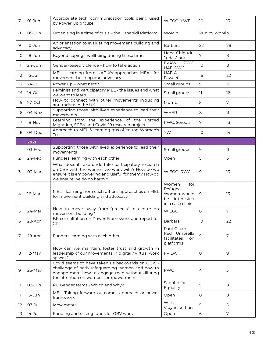| 7  | 01-Jun     | Appropriate tech: communication tools being used<br>by Power Up groups                                                                                                                        | WIEGO, YWT                                                                  | 10              | 13              |
|----|------------|-----------------------------------------------------------------------------------------------------------------------------------------------------------------------------------------------|-----------------------------------------------------------------------------|-----------------|-----------------|
| 8  | 05-Jun     | Organising in a time of crisis - the Ushahidi Platform                                                                                                                                        | WoMin                                                                       | Run by WoMin    |                 |
| 9  | 10-Jun     | An orientation to evaluating movement building and<br>advocacy                                                                                                                                | Barbara                                                                     | 22              | 28              |
| 10 | 18-Jun     | Beyond coping - wellbeing during these times                                                                                                                                                  | Hope Chigudu,<br>Jude Clark                                                 | $7\overline{ }$ | 8               |
| 11 | $24 - Jun$ | Gender-based violence – how to take action                                                                                                                                                    | EVAW,<br>PWC,<br>UAF, RWC                                                   | 10              | 8               |
| 12 | $15 - Jul$ | MEL - learning from UAF-A's approaches MEAL for<br>movement building and advocacy                                                                                                             | UAF-A,<br>Fawcett                                                           | 16              | 22              |
| 13 | $24 - Jul$ | Power Up - what next?                                                                                                                                                                         | Small groups                                                                | 9               | 10 <sup>°</sup> |
| 14 | 14-Oct     | Feminist and Participatory MEL - the issues and what<br>we want to learn                                                                                                                      | Small groups                                                                | 11.             | 16              |
| 15 | 27-Oct     | How to connect with other movements including<br>anti-racism in the UK                                                                                                                        | Mumbi                                                                       | 5               | 7               |
| 16 | 04-Nov     | Supporting those with lived experience to lead their<br>movements                                                                                                                             | <b>WHER</b>                                                                 | 8               | 11.             |
| 17 | 18-Nov     | Learning from the experience of the Forced<br>Migration, SGBV and Covid-19 research project                                                                                                   | RWC, Sereda<br>7<br>13                                                      |                 |                 |
| 18 | $04$ -Dec  | Approach to MEL & learning qus of Young Women's<br>Trust                                                                                                                                      | <b>YWT</b>                                                                  | 10              | 14              |
|    | 2021       |                                                                                                                                                                                               |                                                                             |                 |                 |
| ı  | 03-Feb     | Supporting those with lived experience to lead their<br>movements                                                                                                                             | Small groups                                                                | 9               | 11.             |
| 2  | 24-Feb     | Funders learning with each other                                                                                                                                                              | Open                                                                        | 5               | 6               |
| 3  | 03-Mar     | What does it take undertake participatory research<br>on GBV with the women we work with? How do we<br>ensure it is empowering and useful for them? How do<br>we ensure we do no harm?'       | WIEGO, RWC                                                                  | 9               | 13              |
| 4  | 16-Mar     | MEL - learning from each other's approaches on MEL<br>for movement building and advocacy                                                                                                      | Women<br>for<br>Refugee<br>Women would<br>be interested<br>in a case clinic | 9               | 13              |
| 5  | 24-Mar     | How to move away from 'projects' to centre on<br>movement building?                                                                                                                           | <b>WIEGO</b>                                                                | $\sqrt{6}$      | 7               |
| 6  | 28-Apr     | BK consultation on Power Framework and report for<br>CR.                                                                                                                                      | <b>Barbara</b>                                                              | 19              | 22              |
| 7  | 29-Apr     | Funders learning with each other                                                                                                                                                              | Paul-Gilbert<br>Red Umbrella<br>facilitates<br>on.<br>platforms             | 5               | 7               |
| 8  | 12-May     | How can we maintain, foster trust and growth in<br>leadership of our movements in digital / virtual work<br>spaces?                                                                           | <b>FRIDA</b>                                                                | 8               | 9               |
| 9  | 26-May     | Covid seems to have taken us backwards on GBV. -<br>challenge of both safeguarding women and how to<br>engage men. How to engage men without diluting<br>the attention on women's empowerment | <b>PWC</b>                                                                  | 4               | 5               |
| 10 | 02-Jun     | PU Gender terms - which and why?                                                                                                                                                              | Saphho for<br>Equality                                                      | 5               | 8               |
| 11 | 15-Jun     | MEL: Taking forward outcomes approach or power<br>framework                                                                                                                                   | Open                                                                        | 8               | 8               |
| 12 | 07-Jul     | Movements                                                                                                                                                                                     | WLL,<br>Vidyanikethan                                                       | 5               | 5               |
| 13 | 14-Jul     | Funding and raising funds for GBV work                                                                                                                                                        | Open                                                                        | 6               | 7               |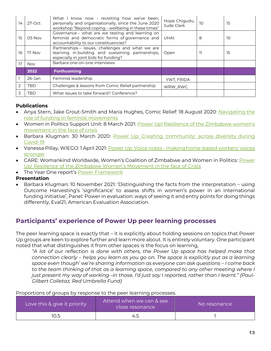| 14            | 27-Oct     | What I know now - revisiting how we've been,<br>personally and organisationally, since the June 2020<br>workshop "Beyond coping - wellbeing in these times" | Hope Chigudu,<br>Jude Clark | 10 | 15 |
|---------------|------------|-------------------------------------------------------------------------------------------------------------------------------------------------------------|-----------------------------|----|----|
| 15            | 03-Nov     | Governance - what are we testing and learning on<br>feminist and democratic forms of governance and<br>accountability to our constituencies?                | <b>UHAI</b>                 | 8  | 10 |
| 16            | 17-Nov     | Partnerships - issues, challenges and what we are<br>learning in building and sustaining partnerships,<br>especially in joint bids for funding?             | Open                        | וו | 15 |
| 17            | <b>Nov</b> | Barbara one-on-one interviews                                                                                                                               |                             |    |    |
|               | 2022       | <b>Forthcoming</b>                                                                                                                                          |                             |    |    |
|               | 26-Jan     | Feminist leadership                                                                                                                                         | YWT. FRIDA                  |    |    |
| $\mathcal{P}$ | TBD        | Challenges & lessons from Comic Relief partnership                                                                                                          | WRW RWC                     |    |    |
| 3             | TBD        | What issues to take forward? Conference?                                                                                                                    |                             |    |    |

### **Publications**

- Anya Stern, Jake Grout-Smith and Maria Hughes, Comic Relief: 18 August 2020: Navigating the [role of funding in feminist movements](https://www.comicrelief.com/news/power-up-feminist-movements)
- Women in Politics Support Unit: 8 March 2021: Power Up! Resilience of the Zimbabwe women's [movement in the face of crisis](https://www.comicrelief.com/news/resilience-of-the-zimbabwe-womens-movement-in-face-of-crisis)
- Barbara Klugman: 30 March 2020: Power Up: Creating 'community' across diversity during [Covid-19](https://www.comicrelief.com/news/power-up-creating-community-across-diversity)
- Vanessa Pillay, WIEGO: 1 April 2021: Power Up: Voice notes [making home-based workers' voices](https://www.comicrelief.com/news/power-up-voice-notes-making-home-based-workers-voices-stronger)  [stronger](https://www.comicrelief.com/news/power-up-voice-notes-making-home-based-workers-voices-stronger)
- CARE: Womankind Worldwide, Women's Coalition of Zimbabwe and Women in Politics: [Power](https://www.comicrelief.com/news/resilience-of-the-zimbabwe-womens-movement-in-face-of-crisis)  [Up! Resilience of the Zimbabwe Women](https://www.comicrelief.com/news/resilience-of-the-zimbabwe-womens-movement-in-face-of-crisis)'s Movement in the face of Crisis
- The Year One report's [Power Framework](https://assets.ctfassets.net/zsfivwzfgl3t/6px6rT6WH7TWAl8jRi6cNu/7adf636d0b4e6a60922912218bd2b0c4/Power_Up_Outcome_Harvesting_Report_2021.pdf)

### **Presentation**

• Barbara Klugman: 10 November 2021: 'Distinguishing the facts from the interpretation – using Outcome Harvesting's 'significance' to assess shifts in women's power in an international funding initiative', Panel: Power in evaluation: ways of seeing it and entry points for doing things differently, Eval21, American Evaluation Association.

## <span id="page-13-0"></span>**Participants' experience of Power Up peer learning processes**

The peer learning space is exactly that – it is explicitly about holding sessions on topics that Power Up groups are keen to explore further and learn more about. It is entirely voluntary. One participant noted that what distinguishes it from other spaces is the focus on learning,

*"A lot of our reflection is done with others, the Power Up space has helped make that connection clearly – helps you learn as you go on. The space is explicitly put as a learning space even though' we're sharing information as everyone can ask questions – I come back to the team thinking of that as a learning space, compared to any other meeting where I just present my way of working –in those, I'd just say I reported, rather than I learnt." (Paul-Gilbert Colletaz, Red Umbrella Fund)*

| Proportions of groups by response to the peer learning processes. |  |
|-------------------------------------------------------------------|--|
|                                                                   |  |

| Love this & give it priority | Attend when we can & see<br>close resonance | No resonance |
|------------------------------|---------------------------------------------|--------------|
| 10.5                         | 4.5                                         |              |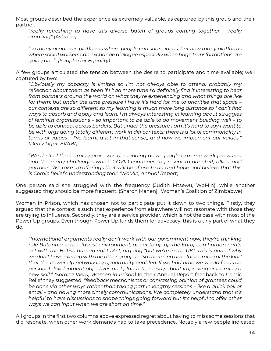Most groups described the experience as extremely valuable, as captured by this group and their partner,

*"really refreshing to have this diverse batch of groups coming together – really amazing" (Astraea)*

*"so many academic platforms where people can share ideas, but how many platforms where social workers can exchange dialogue especially when huge transformations are going on…" (Sappho for Equality)*

A few groups articulated the tension between the desire to participate and time available; well captured by two:

*"Obviously my capacity is limited so I'm not always able to attend; probably my reflection about them as been if I had more time I'd definitely find it interesting to hear from partners around the world on what they're experiencing and what things are like for them; but under the time pressure I have it's hard for me to prioritise that space – our contexts are so different so my learning is much more long distance so I can't find ways to absorb and apply and learn; I'm always interesting in learning about struggles of feminist organisations – so important to be able to do movement building well – to be able to connect across borders. But under the pressure I am it's hard to say I want to be with orgs doing totally different work in diff contexts; there is a lot of commonality in terms of values – I've learnt a lot in that sense;, and how we implement our values." (Deniz Ugur, EVAW)*

*"We do find the learning processes demanding as we juggle extreme work pressures, and the many challenges which COVID continues to present to our staff, allies, and partners. We take up offerings that will be of use to us, and hope and believe that this is Comic Relief's understanding too." (WoMin, Annual Report)*

One person said she struggled with the frequency (Judith Mtsewu, WoMin), while another suggested they should be more frequent. (Sharon Manenji, Women's Coalition of Zimbabwe)

Women in Prison, which has chosen not to participate put it down to two things. Firstly, they argued that the context is such that experience from elsewhere will not resonate with those they are trying to influence. Secondly, they are a service provider, which is not the case with most of the Power Up groups. Even though Power Up funds them for advocacy, this is a tiny part of what they do.

*"International arguments really don't work with our government now, they're thinking rule Britannia, a neo-fascist environment, about to rip up the European human rights act with the British human rights Act, arguing "but we're in the UK". This is part of why we don't have overlap with the other groups. … So there's no time for learning of the kind that the Power Up networking opportunity enabled. If we had time we would focus on personal development objectives and plans etc, mostly about improving or learning a new skill." (Sorana Vieru, Women in Prison)* In their Annual Report feedback to Comic Relief they suggested, *"feedback mechanisms or canvassing opinion of grantees could be done via other ways rather than taking part in lengthy sessions – like a quick poll or email - and having more timely communications. We completely understand that it's helpful to have discussions to shape things going forward but it's helpful to offer other ways we can input when we are short on time."*

All groups in the first two columns above expressed regret about having to miss some sessions that did resonate, when other work demands had to take precedence. Notably a few people indicated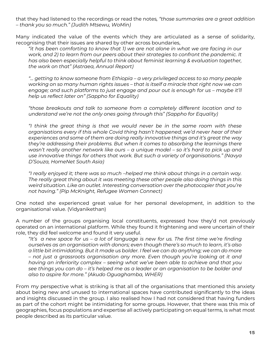that they had listened to the recordings or read the notes*, "those summaries are a great addition – thank you so much." (Judith Mtsewu, WoMin)*

Many indicated the value of the events which they are articulated as a sense of solidarity, recognising that their issues are shared by other across boundaries,

*"it has been comforting to know that 1) we are not alone in what we are facing in our work, and 2) to learn from our peers about their strategies to confront the pandemic. It has also been especially helpful to think about feminist learning & evaluation together, the work on that" (Astraea, Annual Report)*

*"… getting to know someone from Ethiopia – a very privileged access to so many people working on so many human rights issues – that is itself a miracle that right now we can engage; and such platforms to just engage and pour out is enough for us – maybe it'll help us reflect later on" (Sappho for Equality)*

*"those breakouts and talk to someone from a completely different location and to understand we're not the only ones going through this" (Sappho for Equality)*

*"I think the great thing is that we would never be in the same room with these organisations every if this whole Covid thing hasn't happened; we'd never hear of their experiences and some of them are doing really innovative things and it's great the way they're addressing their problems. But when it comes to absorbing the learnings there wasn't really another network like ours – a unique model – so it's hard to pick up and use innovative things for others that work. But such a variety of organisations." (Navya D'Souza, HomeNet South Asia)*

*"I really enjoyed it; there was so much –helped me think about things in a certain way. The really great thing about it was meeting these other people also doing things in this weird situation. Like an outlet. Interesting conversation over the photocopier that you're not having." (Pip McKnight, Refugee Women Connect)*

One noted she experienced great value for her personal development, in addition to the organisational value. (Vidyanikethan)

A number of the groups organising local constituents, expressed how they'd not previously operated on an international platform. While they found it frightening and were uncertain of their role, they did feel welcome and found it very useful.

*"It's a new space for us – a lot of language is new for us. The first time we're finding ourselves as an organisation with donors; even though there's so much to learn, it's also a little bit intimidating. But it made us bolder. I feel we can do anything; we can do more – not just a grassroots organisation any more. Even though you're looking at it and having an inferiority complex – seeing what we've been able to achieve and that you see things you can do – it's helped me as a leader or an organisation to be bolder and also to aspire for more." (Akudo Oguaghamba, WHER)*

From my perspective what is striking is that all of the organisations that mentioned this anxiety about being new and unused to international spaces have contributed significantly to the ideas and insights discussed in the group. I also realised how I had not considered that having funders as part of the cohort might be intimidating for some groups. However, that there was this mix of geographies, focus populations and expertise all actively participating on equal terms, is what most people described as its particular value.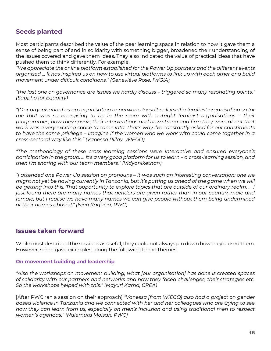## <span id="page-16-0"></span>**Seeds planted**

Most participants described the value of the peer learning space in relation to how it gave them a sense of being part of and in solidarity with something bigger, broadened their understanding of the issues covered and gave them ideas. They also indicated the value of practical ideas that have pushed them to think differently. For example,

*"We appreciate the online platform established for the Power Up partners and the different events organised … It has inspired us on how to use virtual platforms to link up with each other and build movement under difficult conditions." (Geneviève Rose, IWGIA)*

*"the last one on governance are issues we hardly discuss – triggered so many resonating points." (Sappho for Equality)*

*"[Our organisation] as an organisation or network doesn't call itself a feminist organisation so for me that was so energising to be in the room with outright feminist organisations – their programmes, how they speak, their interventions and how strong and firm they were about that work was a very exciting space to come into. That's why I've constantly asked for our constituents to have the same privilege – imagine if the women who we work with could come together in a cross-sectoral way like this." (Vanessa Pillay, WIEGO)*

*"The methodology of these cross learning sessions were interactive and ensured everyone's participation in the group. … It's a very good platform for us to learn – a cross-learning session, and then I'm sharing with our team members." (Vidyanikethan)*

*"I attended one Power Up session on pronouns – it was such an interesting conversation; one we might not yet be having currently in Tanzania, but it's putting us ahead of the game when we will be getting into this. That opportunity to explore topics that are outside of our ordinary realm. … I just found there are many names that genders are given rather than in our country, male and*  female, but I realise we have many names we can give people without them being undermined *or their names abused." (Njeri Kagucia, PWC)*

## <span id="page-16-1"></span>**Issues taken forward**

While most described the sessions as useful, they could not always pin down how they'd used them. However, some gave examples, along the following broad themes.

### <span id="page-16-2"></span>**On movement building and leadership**

*"Also the workshops on movement building, what [our organisation] has done is created spaces of solidarity with our partners and networks and how they faced challenges, their strategies etc. So the workshops helped with this." (Mayuri Karna, CREA)*

[After PWC ran a session on their approach] *"Vanessa [from WIEGO] also had a project on gender based violence in Tanzania and we connected with her and her colleagues who are trying to see how they can learn from us, especially on men's inclusion and using traditional men to respect women's agendas." (Nalemuta Moisan, PWC)*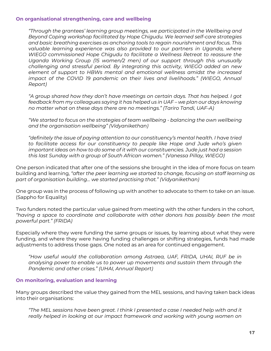#### <span id="page-17-0"></span>**On organisational strengthening, care and wellbeing**

*"Through the grantees' learning group meetings, we participated in the Wellbeing and Beyond Coping workshop facilitated by Hope Chigudu. We learned self-care strategies and basic breathing exercises as anchoring tools to regain nourishment and focus. This*  valuable learning experience was also provided to our partners in Uganda, where *WIEGO commissioned Hope Chigudu to facilitate a Wellness Retreat to reassure the Uganda Working Group (15 women/2 men) of our support through this unusually challenging and stressful period. By integrating this activity, WIEGO added an new element of support to HBWs mental and emotional wellness amidst the increased impact of the COVID 19 pandemic on their lives and livelihoods." (WIEGO, Annual Report)*

*"A group shared how they don't have meetings on certain days. That has helped. I got*  feedback from my colleagues saying it has helped us in UAF – we plan our days knowing *no matter what on these days there are no meetings." (Tariro Tandi, UAF-A)*

*"We started to focus on the strategies of team wellbeing - balancing the own wellbeing and the organisation wellbeing" (Vidyanikethan)*

*"definitely the issue of paying attention to our constituency's mental health. I have tried to facilitate access for our constituency to people like Hope and Jude who's given important ideas on how to do some of it with our constituencies. Jude just had a session this last Sunday with a group of South African women." (Vanessa Pillay, WIEGO)*

One person indicated that after one of the sessions she brought in the idea of more focus on team building and learning, *"after the peer learning we started to change, focusing on staff learning as part of organisation building… we started practising that." (Vidyanikethan)*

One group was in the process of following up with another to advocate to them to take on an issue. (Sappho for Equality)

Two funders noted the particular value gained from meeting with the other funders in the cohort, *"having a space to coordinate and collaborate with other donors has possibly been the most powerful part." (FRIDA)* 

Especially where they were funding the same groups or issues, by learning about what they were funding, and where they were having funding challenges or shifting strategies, funds had made adjustments to address those gaps. One noted as an area for continued engagement.

*"How useful would the collaboration among Astraea, UAF, FRIDA, UHAI, RUF be in analysing power to enable us to power up movements and sustain them through the Pandemic and other crises." (UHAI, Annual Report)*

### <span id="page-17-1"></span>**On monitoring, evaluation and learning**

Many groups described the value they gained from the MEL sessions, and having taken back ideas into their organisations:

*"The MEL sessions have been great. I think I presented a case I needed help with and it*  really helped in looking at our impact framework and working with young women on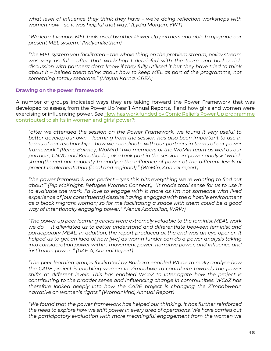*what level of influence they think they have – we're doing reflection workshops with women now – so it was helpful that way." (Lydia Morgan, YWT)*

*"We learnt various MEL tools used by other Power Up partners and able to upgrade our present MEL system." (Vidyanikethan)*

*"the MEL system you facilitated – the whole thing on the problem stream, policy stream was very useful – after that workshop I debriefed with the team and had a rich discussion with partners; don't know if they fully utilised it but they have tried to think about it – helped them think about how to keep MEL as part of the programme, not something totally separate." (Mayuri Karna, CREA)*

#### <span id="page-18-0"></span>**Drawing on the power framework**

A number of groups indicated ways they are taking forward the Power Framework that was developed to assess, from the Power Up Year 1 Annual Reports, if and how girls and women were exercising or influencing power. See How has work funded by Comic Relief's Power Up programme [contributed to shifts in women and girls' power?:](https://assets.ctfassets.net/zsfivwzfgl3t/6px6rT6WH7TWAl8jRi6cNu/7adf636d0b4e6a60922912218bd2b0c4/Power_Up_Outcome_Harvesting_Report_2021.pdf)

*"after we attended the session on the Power Framework, we found it very useful to better develop our own – learning from the session has also been important to use in terms of our relationship – how we coordinate with our partners in terms of our power framework." (Reine Baimey, WoMin) "Two members of the WoMin team as well as our partners, CNRG and Kebetkache, also took part in the session on 'power analysis' which strengthened our capacity to analyse the influence of power at the different levels of project implementation (local and regional)." (WoMin, Annual report)*

*"the power framework was perfect – 'yes this hits everything we're wanting to find out about'" (Pip McKnight, Refugee Women Connect); "it made total sense for us to use it*  to evaluate the work. I'd love to engage with it more as I'm not someone with lived *experience of [our constituents] despite having engaged with the a hostile environment as a black migrant woman; so for me facilitating a space with them could be a good way of intentionally engaging power." (Venus Abduallah, WRW)* 

*"The power up peer learning circles were extremely valuable to the feminist MEAL work we do. It alleviated us to better understand and differentiate between feminist and*  participatory MEAL. In addition, the report produced at the end was an eye opener. It *helped us to get an idea of how [we] as womn funder can do a power analysis taking into consideration power within, movement power, narrative power, and influence and institution power ." (UAF-A, Annual Report)*

*"The peer learning groups facilitated by Barbara enabled WCoZ to really analyse how the CARE project is enabling women in Zimbabwe to contribute towards the power shifts at different levels. This has enabled WCoZ to interrogate how the project is contributing to the broader sense and influencing change in communities. WCoZ has therefore looked deeply into how the CARE project is changing the Zimbabwean narrative on women's rights." (Womankind, Annual Report)*

*"We found that the power framework has helped our thinking. It has further reinforced the need to explore how we shift power in every area of operations. We have carried out the participatory evaluation with more meaningful engagement from the women we*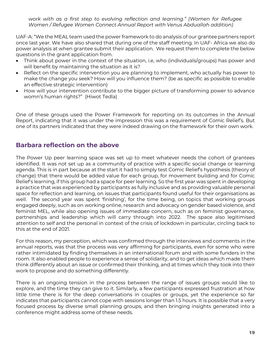*work with as a first step to evolving reflection and learning." (Women for Refugee Women / Refugee Women Connect Annual Report with Venus Abduallah addition)*

UAF-A: "We the MEAL team used the power framework to do analysis of our grantee partners report once last year. We have also shared that during one of the staff meeting. In UAF- Africa we also do power analysis at when grantee submit their application. We request them to complete the below questions in the grant application from.

- Think about power in the context of the situation, i.e, who (individuals/groups) has power and will benefit by maintaining the situation as it is?
- Reflect on the specific intervention you are planning to implement, who actually has power to make the change you seek? How will you influence them? (be as specific as possible to enable an effective strategic intervention)
- How will your intervention contribute to the bigger picture of transforming power to advance womn's human rights?" (Hiwot Tedla)

One of these groups used the Power Framework for reporting on its outcomes in the Annual Report, indicating that it was under the impression this was a requirement of Comic Relief's. But one of its partners indicated that they were indeed drawing on the framework for their own work.

## <span id="page-19-0"></span>**Barbara reflection on the above**

The Power Up peer learning space was set up to meet whatever needs the cohort of grantees identified. It was not set up as a community of practice with a specific social change or learning agenda. This is in part because at the start it had to simply test Comic Relief's hypothesis (theory of change) that there would be added value for each group, for movement building and for Comic Relief's learning, if this group had a space for peer learning. So the first year was spent in developing a practice that was experienced by participants as fully inclusive and as providing valuable personal space for reflection and learning, on issues that participants found useful for their organisations as well. The second year was spent 'finishing', for the time being, on topics that working groups engaged deeply, such as on working online, research and advocacy on gender based violence, and feminist MEL, while also opening issues of immediate concern, such as on feminist governance, partnerships and leadership which will carry through into 2022. The space also legitimised attention to self and the personal in context of the crisis of lockdown in particular, circling back to this at the end of 2021.

For this reason, my perception, which was confirmed through the interviews and comments in the annual reports, was that the process was very affirming for participants, even for some who were rather intimidated by finding themselves in an international forum and with some funders in the room. It also enabled people to experience a sense of solidarity, and to get ideas which made them think differently about an issue or confirmed their thinking, and at times which they took into their work to propose and do something differently.

There is an ongoing tension in the process between the range of issues groups would like to explore, and the time they can give to it. Similarly, a few participants expressed frustration at how little time there is for the deep conversations in couples or groups, yet the experience so far indicates that participants cannot cope with sessions longer than 1.5 hours. It is possible that a very focused process by diverse small planning groups, and then bringing insights generated into a conference might address some of these needs.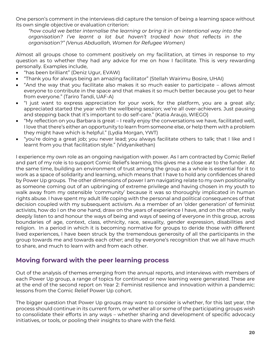One person's comment in the interviews did capture the tension of being a learning space without its own single objective or evaluation criterion:

*"how could we better internalise the learning or bring it in an intentional way into the organisation? I've learnt a lot but haven't tracked how that reflects in the organisation?" (Venus Abduallah, Women for Refugee Women)* 

Almost all groups chose to comment positively on my facilitation, at times in response to my question as to whether they had any advice for me on how I facilitate. This is very rewarding personally. Examples include,

- "has been brilliant" (Deniz Ugur, EVAW)
- "Thank you for always being an amazing facilitator" (Stellah Wairimu Bosire, UHAI)
- "And the way that you facilitate also makes it so much easier to participate allows almost everyone to contribute in the space and that makes it so much better because you get to hear from everyone." (Tariro Tandi, UAF-A)
- "I just want to express appreciation for your work, for the platform, you are a great ally; appreciated started the year with the wellbeing session; we're all over-achievers. Just pausing and stepping back that it's important to do self-care." (Katia Araujo, WIEGO)
- "My reflection on you Barbara is great I really enjoy the conversations we have, facilitated well, I love that there's either an opportunity to learn from someone else, or help them with a problem they might have which is helpful." (Lydia Morgan, YWT)
- "you're doing a great job; you never lead; you always facilitate others to talk; that I like and I learnt from you that facilitation style." (Vidyanikethan)

I experience my own role as an ongoing navigation with power. As I am contracted by Comic Relief and part of my role is to support Comic Relief's learning, this gives me a close ear to the funder. At the same time, building an environment of trust among the group as a whole is essential for it to work as a space of solidarity and learning, which means that I have to hold any confidences shared by Power Up groups. The other dimensions of power I am navigating relate to my own positionality as someone coming out of an upbringing of extreme privilege and having chosen in my youth to walk away from my ostensible 'community' because it was so thoroughly implicated in human rights abuse. I have spent my adult life coping with the personal and political consequences of that decision coupled with my subsequent activism. As a member of an 'older generation' of feminist activists, how do I on the one hand, draw on the years of experience I have, and on the other, really deeply listen to and honour the ways of being and ways of seeing of everyone in this group, across boundaries of age, context, class, ethnicity, race, sexuality, gender expression, disabilities and religion. In a period in which it is becoming normative for groups to deride those with different lived experiences, I have been struck by the tremendous generosity of all the participants in the group towards me and towards each other; and by everyone's recognition that we all have much to share, and much to learn with and from each other.

## <span id="page-20-0"></span>**Moving forward with the peer learning process**

Out of the analysis of themes emerging from the annual reports, and interviews with members of each Power Up group, a range of topics for continued or new learning were generated. These are at the end of the second report on Year 2: Feminist resilience and innovation within a pandemic: lessons from the Comic Relief Power Up cohort.

The bigger question that Power Up groups may want to consider is whether, for this last year, the process should continue in its current form, or whether all or some of the participating groups wish to consolidate their efforts in any ways – whether sharing and development of specific advocacy initiatives, or tools, or pooling their insights to share with the field.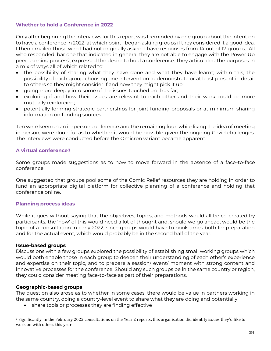### <span id="page-21-0"></span>**Whether to hold a Conference in 2022**

Only after beginning the interviews for this report was I reminded by one group about the intention to have a conference in 2022, at which point I began asking groups if they considered it a good idea. I then emailed those who I had not originally asked. I have responses from 14 out of 17 groups. All who responded, bar one that indicated in general they are not able to engage with the Power Up peer learning process<sup>1</sup>, expressed the desire to hold a conference. They articulated the purposes in a mix of ways all of which related to:

- the possibility of sharing what they have done and what they have learnt; within this, the possibility of each group choosing one intervention to demonstrate or at least present in detail to others so they might consider if and how they might pick it up;
- going more deeply into some of the issues touched on thus far;
- exploring if and how their issues are relevant to each other and their work could be more mutually reinforcing;
- potentially forming strategic partnerships for joint funding proposals or at minimum sharing information on funding sources.

Ten were keen on an in-person conference and the remaining four, while liking the idea of meeting in-person, were doubtful as to whether it would be possible given the ongoing Covid challenges. The interviews were conducted before the Omicron variant became apparent.

### <span id="page-21-1"></span>**A virtual conference?**

Some groups made suggestions as to how to move forward in the absence of a face-to-face conference.

One suggested that groups pool some of the Comic Relief resources they are holding in order to fund an appropriate digital platform for collective planning of a conference and holding that conference online.

### <span id="page-21-2"></span>**Planning process ideas**

While it goes without saying that the objectives, topics, and methods would all be co-created by participants, the 'how' of this would need a lot of thought and, should we go ahead, would be the topic of a consultation in early 2022, since groups would have to book times both for preparation and for the actual event, which would probably be in the second half of the year.

### **Issue-based groups**

Discussions with a few groups explored the possibility of establishing small working groups which would both enable those in each group to deepen their understanding of each other's experience and expertise on their topic, and to prepare a session/ event/ moment with strong content and innovative processes for the conference. Should any such groups be in the same country or region, they could consider meeting face-to-face as part of their preparations.

### **Geographic-based groups**

The question also arose as to whether in some cases, there would be value in partners working in the same country, doing a country-level event to share what they are doing and potentially

share tools or processes they are finding effective

<sup>&</sup>lt;sup>1</sup> Significantly, in the February 2022 consultations on the Year 2 reports, this organisation did identify issues they'd like to work on with others this year.